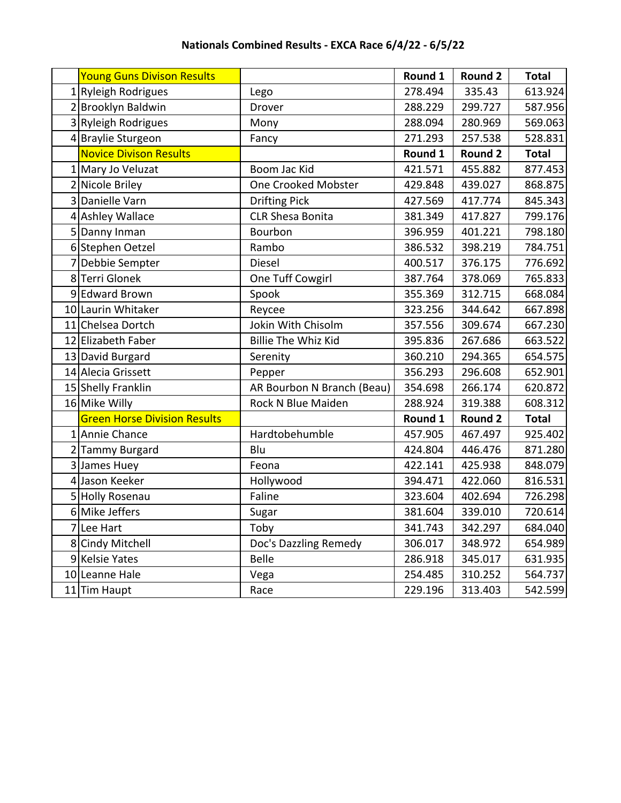| Young Guns Divison Results          |                            | Round 1 | <b>Round 2</b> | <b>Total</b> |
|-------------------------------------|----------------------------|---------|----------------|--------------|
| 1 Ryleigh Rodrigues                 | Lego                       | 278.494 | 335.43         | 613.924      |
| 2 Brooklyn Baldwin                  | Drover                     | 288.229 | 299.727        | 587.956      |
| 3 Ryleigh Rodrigues                 | Mony                       | 288.094 | 280.969        | 569.063      |
| 4 Braylie Sturgeon                  | Fancy                      | 271.293 | 257.538        | 528.831      |
| <b>Novice Divison Results</b>       |                            | Round 1 | <b>Round 2</b> | <b>Total</b> |
| 1 Mary Jo Veluzat                   | Boom Jac Kid               | 421.571 | 455.882        | 877.453      |
| 2 Nicole Briley                     | <b>One Crooked Mobster</b> | 429.848 | 439.027        | 868.875      |
| 3 Danielle Varn                     | <b>Drifting Pick</b>       | 427.569 | 417.774        | 845.343      |
| 4 Ashley Wallace                    | <b>CLR Shesa Bonita</b>    | 381.349 | 417.827        | 799.176      |
| 5 Danny Inman                       | Bourbon                    | 396.959 | 401.221        | 798.180      |
| 6 Stephen Oetzel                    | Rambo                      | 386.532 | 398.219        | 784.751      |
| Debbie Sempter                      | <b>Diesel</b>              | 400.517 | 376.175        | 776.692      |
| 8Terri Glonek                       | One Tuff Cowgirl           | 387.764 | 378.069        | 765.833      |
| 9 Edward Brown                      | Spook                      | 355.369 | 312.715        | 668.084      |
| 10 Laurin Whitaker                  | Reycee                     | 323.256 | 344.642        | 667.898      |
| 11 Chelsea Dortch                   | Jokin With Chisolm         | 357.556 | 309.674        | 667.230      |
| 12 Elizabeth Faber                  | <b>Billie The Whiz Kid</b> | 395.836 | 267.686        | 663.522      |
| 13 David Burgard                    | Serenity                   | 360.210 | 294.365        | 654.575      |
| 14 Alecia Grissett                  | Pepper                     | 356.293 | 296.608        | 652.901      |
| 15 Shelly Franklin                  | AR Bourbon N Branch (Beau) | 354.698 | 266.174        | 620.872      |
| 16 Mike Willy                       | Rock N Blue Maiden         | 288.924 | 319.388        | 608.312      |
| <b>Green Horse Division Results</b> |                            | Round 1 | <b>Round 2</b> | <b>Total</b> |
| 1 Annie Chance                      | Hardtobehumble             | 457.905 | 467.497        | 925.402      |
| 2 Tammy Burgard                     | Blu                        | 424.804 | 446.476        | 871.280      |
| 3 James Huey                        | Feona                      | 422.141 | 425.938        | 848.079      |
| 4 Jason Keeker                      | Hollywood                  | 394.471 | 422.060        | 816.531      |
| 5 Holly Rosenau                     | Faline                     | 323.604 | 402.694        | 726.298      |
| 6 Mike Jeffers                      | Sugar                      | 381.604 | 339.010        | 720.614      |
| 7 Lee Hart                          | Toby                       | 341.743 | 342.297        | 684.040      |
| 8 Cindy Mitchell                    | Doc's Dazzling Remedy      | 306.017 | 348.972        | 654.989      |
| 9 Kelsie Yates                      | <b>Belle</b>               | 286.918 | 345.017        | 631.935      |
| 10 Leanne Hale                      | Vega                       | 254.485 | 310.252        | 564.737      |
| 11 Tim Haupt                        | Race                       | 229.196 | 313.403        | 542.599      |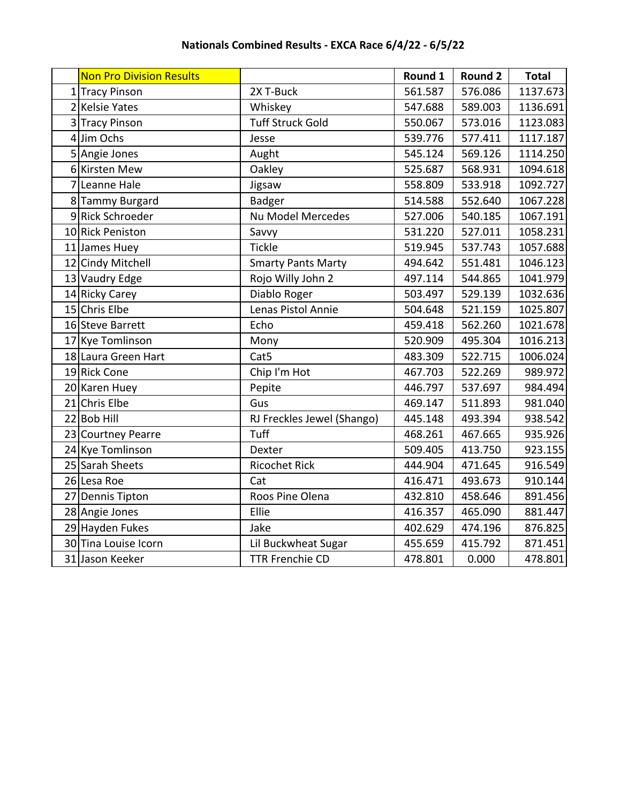| Nationals Combined Results - EXCA Race 6/4/22 - 6/5/22 |
|--------------------------------------------------------|
|                                                        |

| <b>Non Pro Division Results</b> |                            | Round 1 | <b>Round 2</b> | <b>Total</b> |
|---------------------------------|----------------------------|---------|----------------|--------------|
| 1 Tracy Pinson                  | 2X T-Buck                  | 561.587 | 576.086        | 1137.673     |
| 2 Kelsie Yates                  | Whiskey                    | 547.688 | 589.003        | 1136.691     |
| 3 Tracy Pinson                  | <b>Tuff Struck Gold</b>    | 550.067 | 573.016        | 1123.083     |
| 4 Jim Ochs                      | Jesse                      | 539.776 | 577.411        | 1117.187     |
| 5 Angie Jones                   | Aught                      | 545.124 | 569.126        | 1114.250     |
| 6 Kirsten Mew                   | Oakley                     | 525.687 | 568.931        | 1094.618     |
| 7 Leanne Hale                   | Jigsaw                     | 558.809 | 533.918        | 1092.727     |
| 8 Tammy Burgard                 | Badger                     | 514.588 | 552.640        | 1067.228     |
| 9 Rick Schroeder                | <b>Nu Model Mercedes</b>   | 527.006 | 540.185        | 1067.191     |
| 10 Rick Peniston                | Savvy                      | 531.220 | 527.011        | 1058.231     |
| 11 James Huey                   | <b>Tickle</b>              | 519.945 | 537.743        | 1057.688     |
| 12 Cindy Mitchell               | <b>Smarty Pants Marty</b>  | 494.642 | 551.481        | 1046.123     |
| 13 Vaudry Edge                  | Rojo Willy John 2          | 497.114 | 544.865        | 1041.979     |
| 14 Ricky Carey                  | Diablo Roger               | 503.497 | 529.139        | 1032.636     |
| 15 Chris Elbe                   | Lenas Pistol Annie         | 504.648 | 521.159        | 1025.807     |
| 16 Steve Barrett                | Echo                       | 459.418 | 562.260        | 1021.678     |
| 17 Kye Tomlinson                | Mony                       | 520.909 | 495.304        | 1016.213     |
| 18 Laura Green Hart             | Cat <sub>5</sub>           | 483.309 | 522.715        | 1006.024     |
| 19 Rick Cone                    | Chip I'm Hot               | 467.703 | 522.269        | 989.972      |
| 20 Karen Huey                   | Pepite                     | 446.797 | 537.697        | 984.494      |
| 21 Chris Elbe                   | Gus                        | 469.147 | 511.893        | 981.040      |
| 22 Bob Hill                     | RJ Freckles Jewel (Shango) | 445.148 | 493.394        | 938.542      |
| 23 Courtney Pearre              | Tuff                       | 468.261 | 467.665        | 935.926      |
| 24 Kye Tomlinson                | Dexter                     | 509.405 | 413.750        | 923.155      |
| 25 Sarah Sheets                 | <b>Ricochet Rick</b>       | 444.904 | 471.645        | 916.549      |
| 26 Lesa Roe                     | Cat                        | 416.471 | 493.673        | 910.144      |
| 27 Dennis Tipton                | Roos Pine Olena            | 432.810 | 458.646        | 891.456      |
| 28 Angie Jones                  | Ellie                      | 416.357 | 465.090        | 881.447      |
| 29 Hayden Fukes                 | Jake                       | 402.629 | 474.196        | 876.825      |
| 30 Tina Louise Icorn            | Lil Buckwheat Sugar        | 455.659 | 415.792        | 871.451      |
| 31 Jason Keeker                 | <b>TTR Frenchie CD</b>     | 478.801 | 0.000          | 478.801      |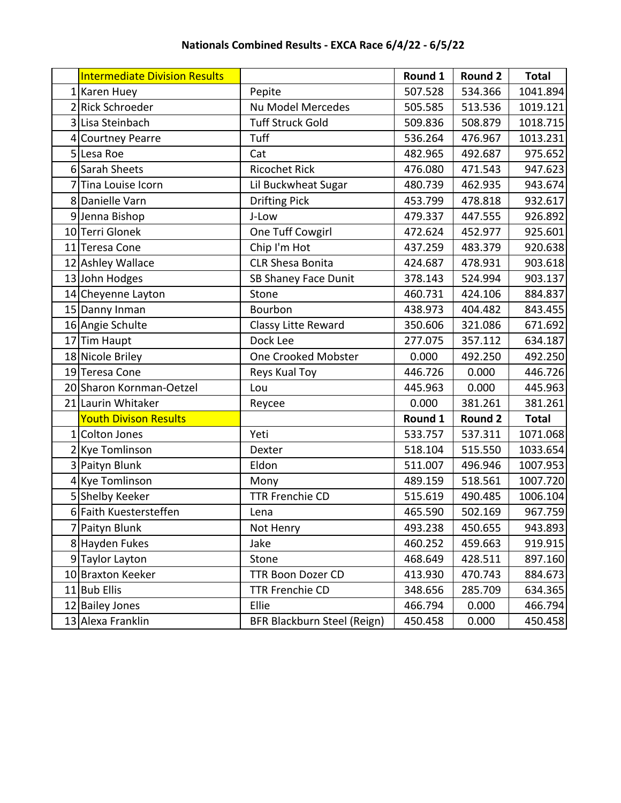| <b>Intermediate Division Results</b> |                             | Round 1 | <b>Round 2</b> | <b>Total</b> |
|--------------------------------------|-----------------------------|---------|----------------|--------------|
| 1 Karen Huey                         | Pepite                      | 507.528 | 534.366        | 1041.894     |
| 2 Rick Schroeder                     | <b>Nu Model Mercedes</b>    | 505.585 | 513.536        | 1019.121     |
| 3 Lisa Steinbach                     | <b>Tuff Struck Gold</b>     | 509.836 | 508.879        | 1018.715     |
| 4 Courtney Pearre                    | Tuff                        | 536.264 | 476.967        | 1013.231     |
| 5 Lesa Roe                           | Cat                         | 482.965 | 492.687        | 975.652      |
| 6 Sarah Sheets                       | <b>Ricochet Rick</b>        | 476.080 | 471.543        | 947.623      |
| 7 Tina Louise Icorn                  | Lil Buckwheat Sugar         | 480.739 | 462.935        | 943.674      |
| 8 Danielle Varn                      | <b>Drifting Pick</b>        | 453.799 | 478.818        | 932.617      |
| 9 Jenna Bishop                       | J-Low                       | 479.337 | 447.555        | 926.892      |
| 10 Terri Glonek                      | One Tuff Cowgirl            | 472.624 | 452.977        | 925.601      |
| 11 Teresa Cone                       | Chip I'm Hot                | 437.259 | 483.379        | 920.638      |
| 12 Ashley Wallace                    | <b>CLR Shesa Bonita</b>     | 424.687 | 478.931        | 903.618      |
| 13 John Hodges                       | SB Shaney Face Dunit        | 378.143 | 524.994        | 903.137      |
| 14 Cheyenne Layton                   | Stone                       | 460.731 | 424.106        | 884.837      |
| 15 Danny Inman                       | Bourbon                     | 438.973 | 404.482        | 843.455      |
| 16 Angie Schulte                     | Classy Litte Reward         | 350.606 | 321.086        | 671.692      |
| 17 Tim Haupt                         | Dock Lee                    | 277.075 | 357.112        | 634.187      |
| 18 Nicole Briley                     | <b>One Crooked Mobster</b>  | 0.000   | 492.250        | 492.250      |
| 19 Teresa Cone                       | Reys Kual Toy               | 446.726 | 0.000          | 446.726      |
| 20 Sharon Kornman-Oetzel             | Lou                         | 445.963 | 0.000          | 445.963      |
| 21 Laurin Whitaker                   | Reycee                      | 0.000   | 381.261        | 381.261      |
| <b>Youth Divison Results</b>         |                             | Round 1 | <b>Round 2</b> | <b>Total</b> |
| 1 Colton Jones                       | Yeti                        | 533.757 | 537.311        | 1071.068     |
| 2 Kye Tomlinson                      | Dexter                      | 518.104 | 515.550        | 1033.654     |
| 3 Paityn Blunk                       | Eldon                       | 511.007 | 496.946        | 1007.953     |
| 4 Kye Tomlinson                      | Mony                        | 489.159 | 518.561        | 1007.720     |
| 5 Shelby Keeker                      | <b>TTR Frenchie CD</b>      | 515.619 | 490.485        | 1006.104     |
| 6 Faith Kuestersteffen               | Lena                        | 465.590 | 502.169        | 967.759      |
| 7 Paityn Blunk                       | Not Henry                   | 493.238 | 450.655        | 943.893      |
| 8 Hayden Fukes                       | Jake                        | 460.252 | 459.663        | 919.915      |
| 9 Taylor Layton                      | Stone                       | 468.649 | 428.511        | 897.160      |
| 10 Braxton Keeker                    | <b>TTR Boon Dozer CD</b>    | 413.930 | 470.743        | 884.673      |
| 11 Bub Ellis                         | <b>TTR Frenchie CD</b>      | 348.656 | 285.709        | 634.365      |
| 12 Bailey Jones                      | Ellie                       | 466.794 | 0.000          | 466.794      |
| 13 Alexa Franklin                    | BFR Blackburn Steel (Reign) | 450.458 | 0.000          | 450.458      |